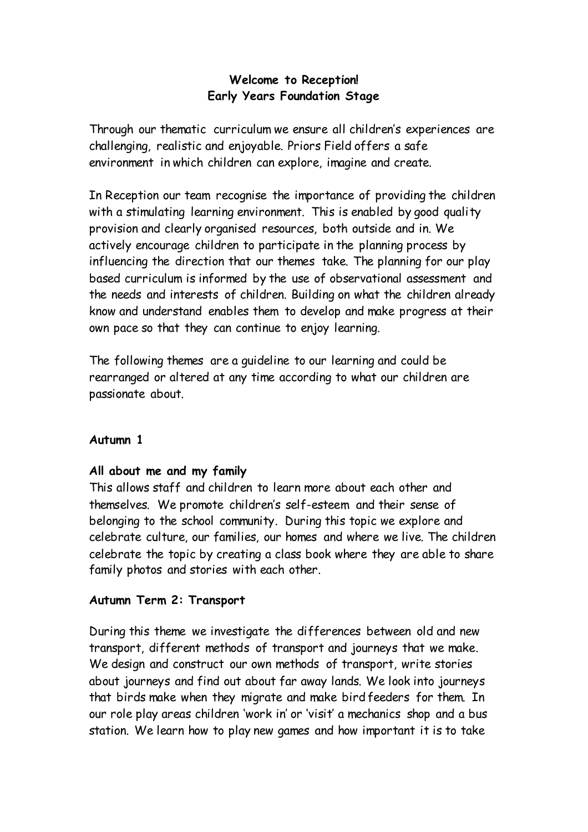# **Welcome to Reception! Early Years Foundation Stage**

Through our thematic curriculum we ensure all children's experiences are challenging, realistic and enjoyable. Priors Field offers a safe environment in which children can explore, imagine and create.

In Reception our team recognise the importance of providing the children with a stimulating learning environment. This is enabled by good quality provision and clearly organised resources, both outside and in. We actively encourage children to participate in the planning process by influencing the direction that our themes take. The planning for our play based curriculum is informed by the use of observational assessment and the needs and interests of children. Building on what the children already know and understand enables them to develop and make progress at their own pace so that they can continue to enjoy learning.

The following themes are a guideline to our learning and could be rearranged or altered at any time according to what our children are passionate about.

### **Autumn 1**

### **All about me and my family**

This allows staff and children to learn more about each other and themselves. We promote children's self-esteem and their sense of belonging to the school community. During this topic we explore and celebrate culture, our families, our homes and where we live. The children celebrate the topic by creating a class book where they are able to share family photos and stories with each other.

### **Autumn Term 2: Transport**

During this theme we investigate the differences between old and new transport, different methods of transport and journeys that we make. We design and construct our own methods of transport, write stories about journeys and find out about far away lands. We look into journeys that birds make when they migrate and make bird feeders for them. In our role play areas children 'work in' or 'visit' a mechanics shop and a bus station. We learn how to play new games and how important it is to take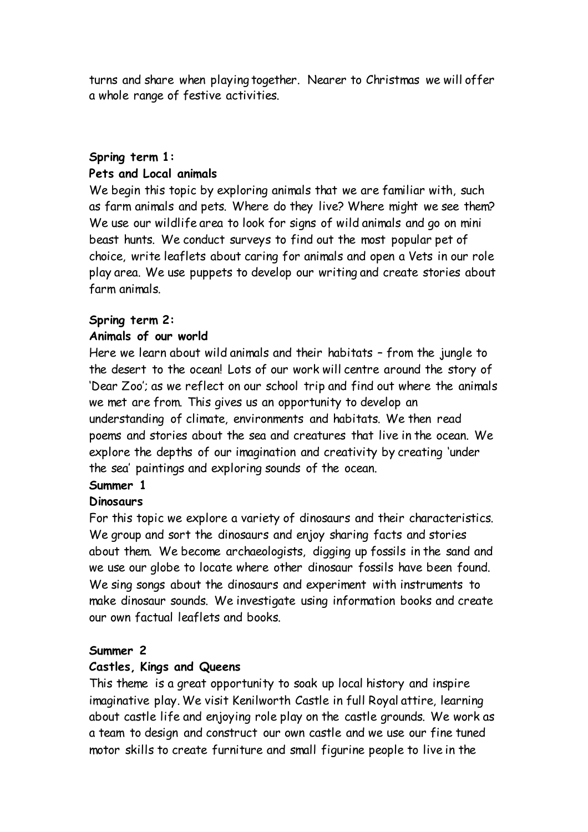turns and share when playing together. Nearer to Christmas we will offer a whole range of festive activities.

## **Spring term 1: Pets and Local animals**

We begin this topic by exploring animals that we are familiar with, such as farm animals and pets. Where do they live? Where might we see them? We use our wildlife area to look for signs of wild animals and go on mini beast hunts. We conduct surveys to find out the most popular pet of choice, write leaflets about caring for animals and open a Vets in our role play area. We use puppets to develop our writing and create stories about farm animals.

# **Spring term 2:**

# **Animals of our world**

Here we learn about wild animals and their habitats – from the jungle to the desert to the ocean! Lots of our work will centre around the story of 'Dear Zoo'; as we reflect on our school trip and find out where the animals we met are from. This gives us an opportunity to develop an understanding of climate, environments and habitats. We then read poems and stories about the sea and creatures that live in the ocean. We explore the depths of our imagination and creativity by creating 'under the sea' paintings and exploring sounds of the ocean.

# **Summer 1**

# **Dinosaurs**

For this topic we explore a variety of dinosaurs and their characteristics. We group and sort the dinosaurs and enjoy sharing facts and stories about them. We become archaeologists, digging up fossils in the sand and we use our globe to locate where other dinosaur fossils have been found. We sing songs about the dinosaurs and experiment with instruments to make dinosaur sounds. We investigate using information books and create our own factual leaflets and books.

# **Summer 2**

# **Castles, Kings and Queens**

This theme is a great opportunity to soak up local history and inspire imaginative play. We visit Kenilworth Castle in full Royal attire, learning about castle life and enjoying role play on the castle grounds. We work as a team to design and construct our own castle and we use our fine tuned motor skills to create furniture and small figurine people to live in the